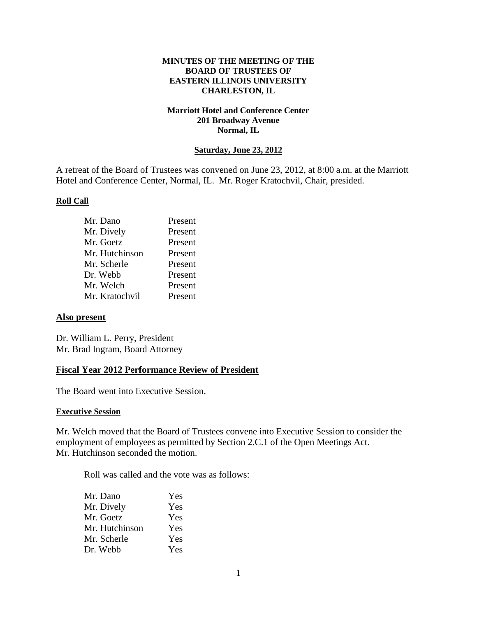## **MINUTES OF THE MEETING OF THE BOARD OF TRUSTEES OF EASTERN ILLINOIS UNIVERSITY CHARLESTON, IL**

## **Marriott Hotel and Conference Center 201 Broadway Avenue Normal, IL**

### **Saturday, June 23, 2012**

A retreat of the Board of Trustees was convened on June 23, 2012, at 8:00 a.m. at the Marriott Hotel and Conference Center, Normal, IL. Mr. Roger Kratochvil, Chair, presided.

#### **Roll Call**

| Mr. Dano       | Present |
|----------------|---------|
| Mr. Dively     | Present |
| Mr. Goetz      | Present |
| Mr. Hutchinson | Present |
| Mr. Scherle    | Present |
| Dr. Webb       | Present |
| Mr. Welch      | Present |
| Mr. Kratochvil | Present |

#### **Also present**

Dr. William L. Perry, President Mr. Brad Ingram, Board Attorney

### **Fiscal Year 2012 Performance Review of President**

The Board went into Executive Session.

#### **Executive Session**

Mr. Welch moved that the Board of Trustees convene into Executive Session to consider the employment of employees as permitted by Section 2.C.1 of the Open Meetings Act. Mr. Hutchinson seconded the motion.

Roll was called and the vote was as follows:

| Mr. Dano       | Yes |
|----------------|-----|
| Mr. Dively     | Yes |
| Mr. Goetz      | Yes |
| Mr. Hutchinson | Yes |
| Mr. Scherle    | Yes |
| Dr. Webb       | Yes |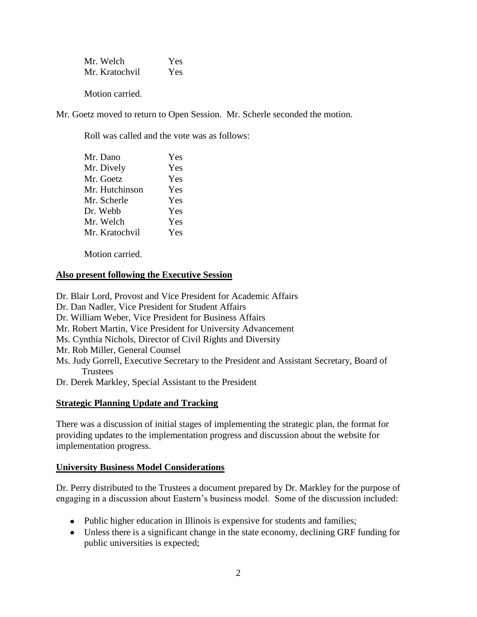Mr. Welch Yes Mr. Kratochvil Yes

Motion carried.

Mr. Goetz moved to return to Open Session. Mr. Scherle seconded the motion.

Roll was called and the vote was as follows:

| Mr. Dano       | Yes |
|----------------|-----|
| Mr. Dively     | Yes |
| Mr. Goetz      | Yes |
| Mr. Hutchinson | Yes |
| Mr. Scherle    | Yes |
| Dr. Webb       | Yes |
| Mr. Welch      | Yes |
| Mr. Kratochvil | Yes |

Motion carried.

# **Also present following the Executive Session**

Dr. Blair Lord, Provost and Vice President for Academic Affairs Dr. Dan Nadler, Vice President for Student Affairs Dr. William Weber, Vice President for Business Affairs Mr. Robert Martin, Vice President for University Advancement Ms. Cynthia Nichols, Director of Civil Rights and Diversity Mr. Rob Miller, General Counsel Ms. Judy Gorrell, Executive Secretary to the President and Assistant Secretary, Board of **Trustees** Dr. Derek Markley, Special Assistant to the President

# **Strategic Planning Update and Tracking**

There was a discussion of initial stages of implementing the strategic plan, the format for providing updates to the implementation progress and discussion about the website for implementation progress.

# **University Business Model Considerations**

Dr. Perry distributed to the Trustees a document prepared by Dr. Markley for the purpose of engaging in a discussion about Eastern's business model. Some of the discussion included:

- Public higher education in Illinois is expensive for students and families;
- Unless there is a significant change in the state economy, declining GRF funding for public universities is expected;